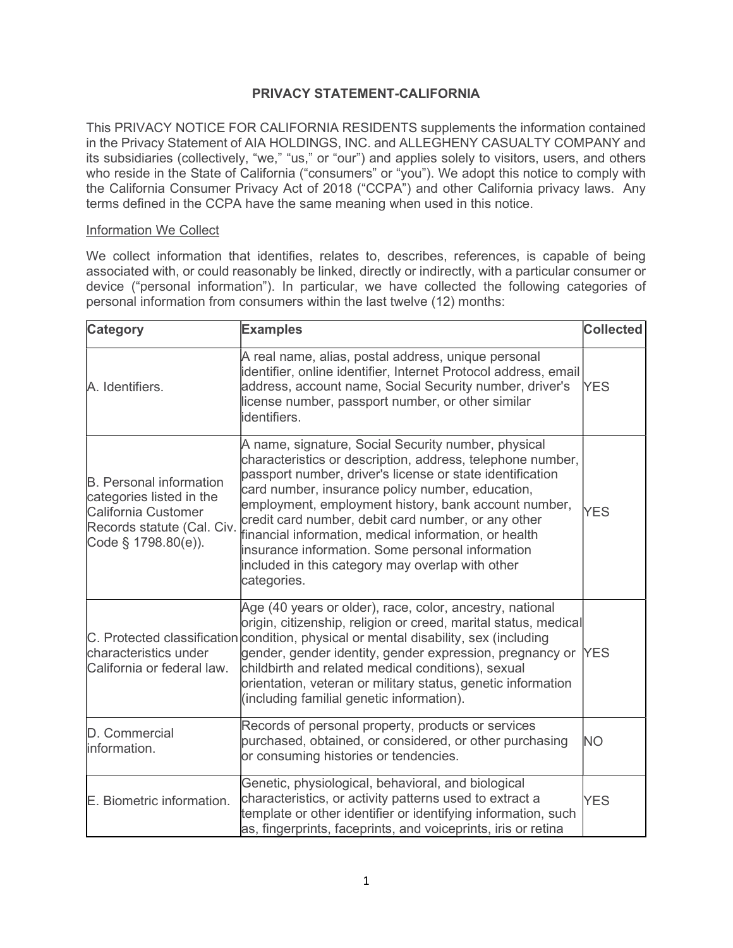# PRIVACY STATEMENT-CALIFORNIA

This PRIVACY NOTICE FOR CALIFORNIA RESIDENTS supplements the information contained in the Privacy Statement of AIA HOLDINGS, INC. and ALLEGHENY CASUALTY COMPANY and its subsidiaries (collectively, "we," "us," or "our") and applies solely to visitors, users, and others who reside in the State of California ("consumers" or "you"). We adopt this notice to comply with the California Consumer Privacy Act of 2018 ("CCPA") and other California privacy laws. Any terms defined in the CCPA have the same meaning when used in this notice.

## Information We Collect

We collect information that identifies, relates to, describes, references, is capable of being associated with, or could reasonably be linked, directly or indirectly, with a particular consumer or device ("personal information"). In particular, we have collected the following categories of personal information from consumers within the last twelve (12) months:

| <b>Category</b>                                                                                                                               | <b>Examples</b>                                                                                                                                                                                                                                                                                                                                                                                                                                                                                                                   | <b>Collected</b> |
|-----------------------------------------------------------------------------------------------------------------------------------------------|-----------------------------------------------------------------------------------------------------------------------------------------------------------------------------------------------------------------------------------------------------------------------------------------------------------------------------------------------------------------------------------------------------------------------------------------------------------------------------------------------------------------------------------|------------------|
| A. Identifiers.                                                                                                                               | A real name, alias, postal address, unique personal<br>identifier, online identifier, Internet Protocol address, email<br>address, account name, Social Security number, driver's<br>license number, passport number, or other similar<br>identifiers.                                                                                                                                                                                                                                                                            | <b>YES</b>       |
| <b>B.</b> Personal information<br>categories listed in the<br><b>California Customer</b><br>Records statute (Cal. Civ.<br>Code § 1798.80(e)). | A name, signature, Social Security number, physical<br>characteristics or description, address, telephone number,<br>passport number, driver's license or state identification<br>card number, insurance policy number, education,<br>employment, employment history, bank account number,<br>credit card number, debit card number, or any other<br>financial information, medical information, or health<br>insurance information. Some personal information<br>included in this category may overlap with other<br>categories. | <b>YES</b>       |
| characteristics under<br>California or federal law.                                                                                           | Age (40 years or older), race, color, ancestry, national<br>origin, citizenship, religion or creed, marital status, medical<br>C. Protected classification condition, physical or mental disability, sex (including<br>gender, gender identity, gender expression, pregnancy or<br>childbirth and related medical conditions), sexual<br>orientation, veteran or military status, genetic information<br>(including familial genetic information).                                                                                | <b>YES</b>       |
| D. Commercial<br>information.                                                                                                                 | Records of personal property, products or services<br>purchased, obtained, or considered, or other purchasing<br>or consuming histories or tendencies.                                                                                                                                                                                                                                                                                                                                                                            | <b>NO</b>        |
| E. Biometric information.                                                                                                                     | Genetic, physiological, behavioral, and biological<br>characteristics, or activity patterns used to extract a<br>template or other identifier or identifying information, such<br>as, fingerprints, faceprints, and voiceprints, iris or retina                                                                                                                                                                                                                                                                                   | <b>YES</b>       |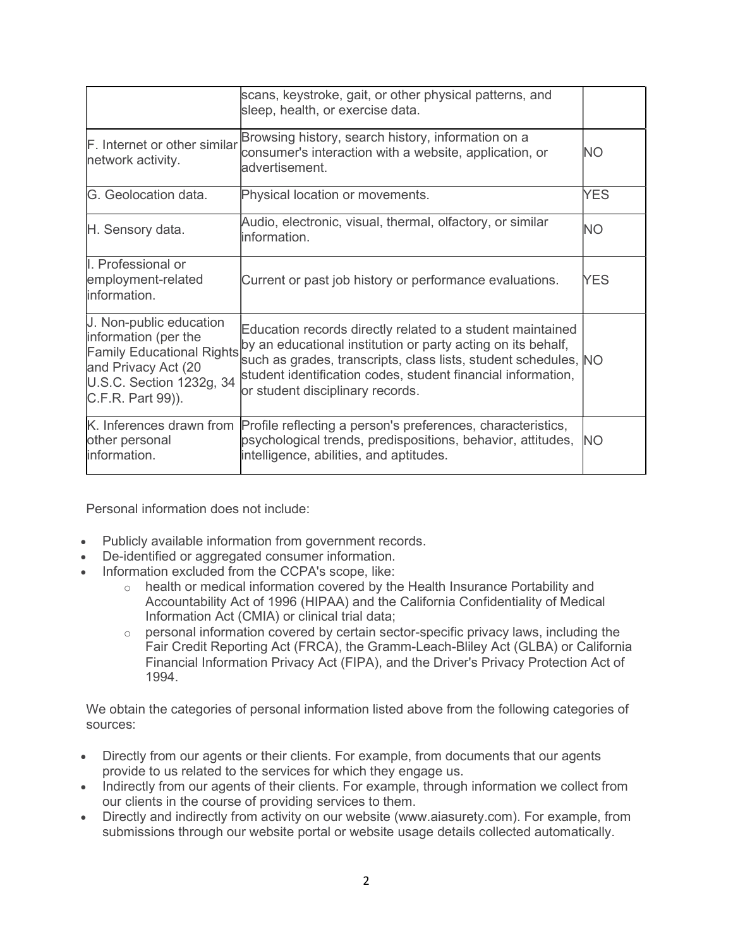|                                                                                                                                                             | scans, keystroke, gait, or other physical patterns, and<br>sleep, health, or exercise data.                                                                                                                                                                                                       |            |
|-------------------------------------------------------------------------------------------------------------------------------------------------------------|---------------------------------------------------------------------------------------------------------------------------------------------------------------------------------------------------------------------------------------------------------------------------------------------------|------------|
| F. Internet or other similar<br>network activity.                                                                                                           | Browsing history, search history, information on a<br>consumer's interaction with a website, application, or<br>advertisement.                                                                                                                                                                    | NΟ         |
| G. Geolocation data.                                                                                                                                        | Physical location or movements.                                                                                                                                                                                                                                                                   | YES        |
| H. Sensory data.                                                                                                                                            | Audio, electronic, visual, thermal, olfactory, or similar<br>information.                                                                                                                                                                                                                         | <b>NO</b>  |
| I. Professional or<br>employment-related<br>information.                                                                                                    | Current or past job history or performance evaluations.                                                                                                                                                                                                                                           | <b>YES</b> |
| J. Non-public education<br>information (per the<br><b>Family Educational Rights</b><br>and Privacy Act (20<br>U.S.C. Section 1232g, 34<br>C.F.R. Part 99)). | Education records directly related to a student maintained<br>by an educational institution or party acting on its behalf,<br>such as grades, transcripts, class lists, student schedules, NO<br>student identification codes, student financial information,<br>or student disciplinary records. |            |
| other personal<br>information.                                                                                                                              | K. Inferences drawn from Profile reflecting a person's preferences, characteristics,<br>psychological trends, predispositions, behavior, attitudes,<br>intelligence, abilities, and aptitudes.                                                                                                    | <b>NO</b>  |

Personal information does not include:

- Publicly available information from government records.
- De-identified or aggregated consumer information.
- Information excluded from the CCPA's scope, like:
	- o health or medical information covered by the Health Insurance Portability and Accountability Act of 1996 (HIPAA) and the California Confidentiality of Medical Information Act (CMIA) or clinical trial data;
	- o personal information covered by certain sector-specific privacy laws, including the Fair Credit Reporting Act (FRCA), the Gramm-Leach-Bliley Act (GLBA) or California Financial Information Privacy Act (FIPA), and the Driver's Privacy Protection Act of 1994.

We obtain the categories of personal information listed above from the following categories of sources:

- Directly from our agents or their clients. For example, from documents that our agents provide to us related to the services for which they engage us.
- Indirectly from our agents of their clients. For example, through information we collect from our clients in the course of providing services to them.
- Directly and indirectly from activity on our website (www.aiasurety.com). For example, from submissions through our website portal or website usage details collected automatically.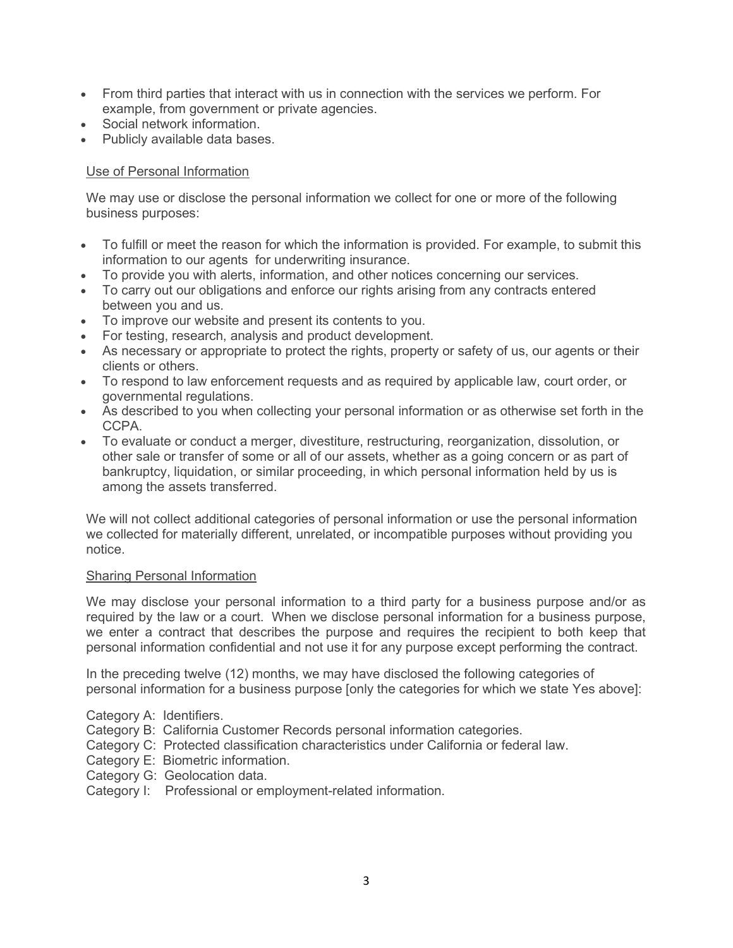- From third parties that interact with us in connection with the services we perform. For example, from government or private agencies.
- Social network information.
- Publicly available data bases.

# Use of Personal Information

We may use or disclose the personal information we collect for one or more of the following business purposes:

- To fulfill or meet the reason for which the information is provided. For example, to submit this information to our agents for underwriting insurance.
- To provide you with alerts, information, and other notices concerning our services.
- To carry out our obligations and enforce our rights arising from any contracts entered between you and us.
- To improve our website and present its contents to you.
- For testing, research, analysis and product development.
- As necessary or appropriate to protect the rights, property or safety of us, our agents or their clients or others.
- To respond to law enforcement requests and as required by applicable law, court order, or governmental regulations.
- As described to you when collecting your personal information or as otherwise set forth in the CCPA.
- To evaluate or conduct a merger, divestiture, restructuring, reorganization, dissolution, or other sale or transfer of some or all of our assets, whether as a going concern or as part of bankruptcy, liquidation, or similar proceeding, in which personal information held by us is among the assets transferred.

We will not collect additional categories of personal information or use the personal information we collected for materially different, unrelated, or incompatible purposes without providing you notice.

## Sharing Personal Information

We may disclose your personal information to a third party for a business purpose and/or as required by the law or a court. When we disclose personal information for a business purpose, we enter a contract that describes the purpose and requires the recipient to both keep that personal information confidential and not use it for any purpose except performing the contract.

In the preceding twelve (12) months, we may have disclosed the following categories of personal information for a business purpose [only the categories for which we state Yes above]:

- Category A: Identifiers.
- Category B: California Customer Records personal information categories.
- Category C: Protected classification characteristics under California or federal law.
- Category E: Biometric information.
- Category G: Geolocation data.
- Category I: Professional or employment-related information.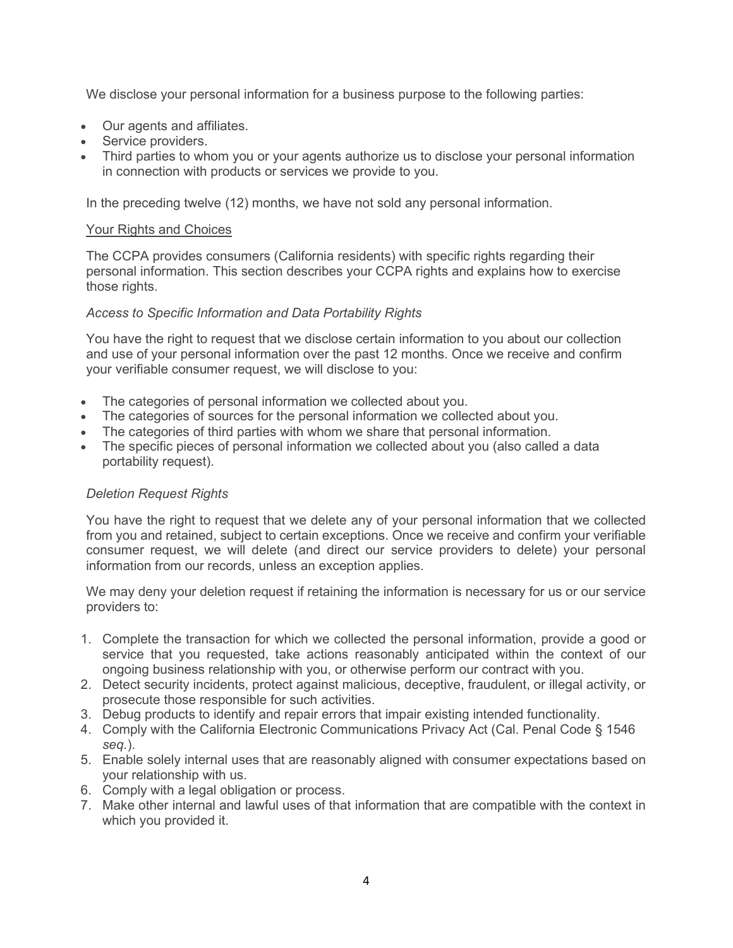We disclose your personal information for a business purpose to the following parties:

- Our agents and affiliates.
- Service providers.
- Third parties to whom you or your agents authorize us to disclose your personal information in connection with products or services we provide to you.

In the preceding twelve (12) months, we have not sold any personal information.

# Your Rights and Choices

The CCPA provides consumers (California residents) with specific rights regarding their personal information. This section describes your CCPA rights and explains how to exercise those rights.

# Access to Specific Information and Data Portability Rights

You have the right to request that we disclose certain information to you about our collection and use of your personal information over the past 12 months. Once we receive and confirm your verifiable consumer request, we will disclose to you:

- The categories of personal information we collected about you.
- The categories of sources for the personal information we collected about you.
- The categories of third parties with whom we share that personal information.
- The specific pieces of personal information we collected about you (also called a data portability request).

# Deletion Request Rights

You have the right to request that we delete any of your personal information that we collected from you and retained, subject to certain exceptions. Once we receive and confirm your verifiable consumer request, we will delete (and direct our service providers to delete) your personal information from our records, unless an exception applies.

We may deny your deletion request if retaining the information is necessary for us or our service providers to:

- 1. Complete the transaction for which we collected the personal information, provide a good or service that you requested, take actions reasonably anticipated within the context of our ongoing business relationship with you, or otherwise perform our contract with you.
- 2. Detect security incidents, protect against malicious, deceptive, fraudulent, or illegal activity, or prosecute those responsible for such activities.
- 3. Debug products to identify and repair errors that impair existing intended functionality.
- 4. Comply with the California Electronic Communications Privacy Act (Cal. Penal Code § 1546 seq.).
- 5. Enable solely internal uses that are reasonably aligned with consumer expectations based on your relationship with us.
- 6. Comply with a legal obligation or process.
- 7. Make other internal and lawful uses of that information that are compatible with the context in which you provided it.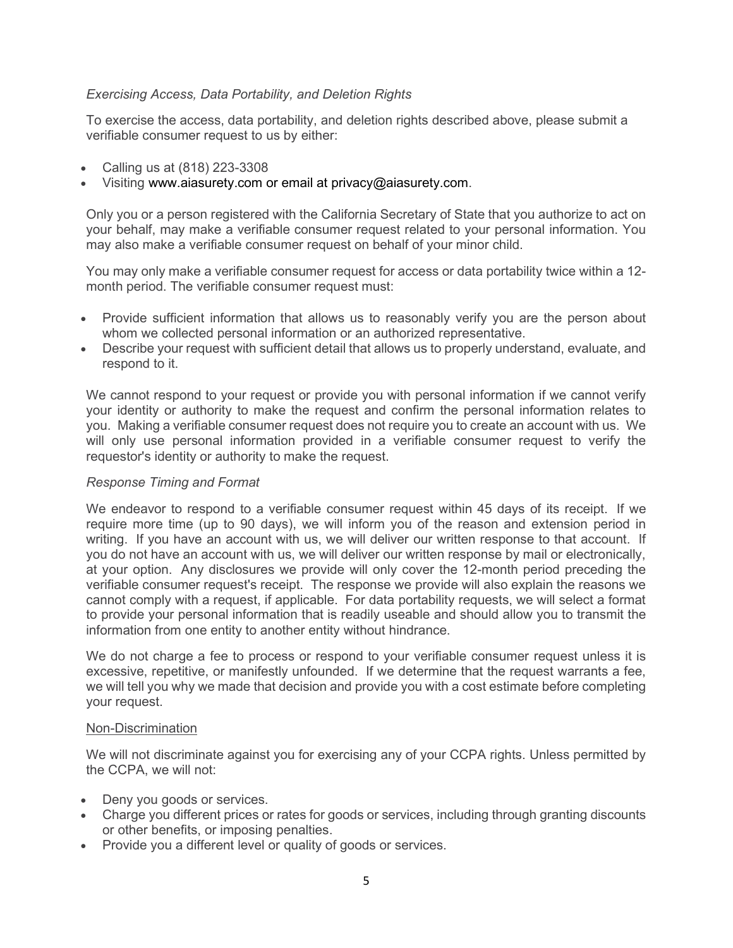## Exercising Access, Data Portability, and Deletion Rights

To exercise the access, data portability, and deletion rights described above, please submit a verifiable consumer request to us by either:

- Calling us at (818) 223-3308
- Visiting www.aiasurety.com or email at privacy@aiasurety.com.

Only you or a person registered with the California Secretary of State that you authorize to act on your behalf, may make a verifiable consumer request related to your personal information. You may also make a verifiable consumer request on behalf of your minor child.

You may only make a verifiable consumer request for access or data portability twice within a 12 month period. The verifiable consumer request must:

- Provide sufficient information that allows us to reasonably verify you are the person about whom we collected personal information or an authorized representative.
- Describe your request with sufficient detail that allows us to properly understand, evaluate, and respond to it.

We cannot respond to your request or provide you with personal information if we cannot verify your identity or authority to make the request and confirm the personal information relates to you. Making a verifiable consumer request does not require you to create an account with us. We will only use personal information provided in a verifiable consumer request to verify the requestor's identity or authority to make the request.

### Response Timing and Format

We endeavor to respond to a verifiable consumer request within 45 days of its receipt. If we require more time (up to 90 days), we will inform you of the reason and extension period in writing. If you have an account with us, we will deliver our written response to that account. If you do not have an account with us, we will deliver our written response by mail or electronically, at your option. Any disclosures we provide will only cover the 12-month period preceding the verifiable consumer request's receipt. The response we provide will also explain the reasons we cannot comply with a request, if applicable. For data portability requests, we will select a format to provide your personal information that is readily useable and should allow you to transmit the information from one entity to another entity without hindrance.

We do not charge a fee to process or respond to your verifiable consumer request unless it is excessive, repetitive, or manifestly unfounded. If we determine that the request warrants a fee, we will tell you why we made that decision and provide you with a cost estimate before completing your request.

### Non-Discrimination

We will not discriminate against you for exercising any of your CCPA rights. Unless permitted by the CCPA, we will not:

- Deny you goods or services.
- Charge you different prices or rates for goods or services, including through granting discounts or other benefits, or imposing penalties.
- Provide you a different level or quality of goods or services.